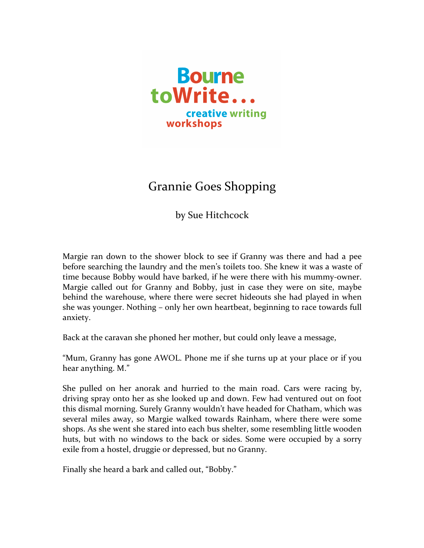

## Grannie Goes Shopping

by Sue Hitchcock

Margie ran down to the shower block to see if Granny was there and had a pee before searching the laundry and the men's toilets too. She knew it was a waste of time because Bobby would have barked, if he were there with his mummy-owner. Margie called out for Granny and Bobby, just in case they were on site, maybe behind the warehouse, where there were secret hideouts she had played in when she was younger. Nothing – only her own heartbeat, beginning to race towards full anxiety.

Back at the caravan she phoned her mother, but could only leave a message,

"Mum, Granny has gone AWOL. Phone me if she turns up at your place or if you hear anything. M."

She pulled on her anorak and hurried to the main road. Cars were racing by, driving spray onto her as she looked up and down. Few had ventured out on foot this dismal morning. Surely Granny wouldn't have headed for Chatham, which was several miles away, so Margie walked towards Rainham, where there were some shops. As she went she stared into each bus shelter, some resembling little wooden huts, but with no windows to the back or sides. Some were occupied by a sorry exile from a hostel, druggie or depressed, but no Granny.

Finally she heard a bark and called out, "Bobby."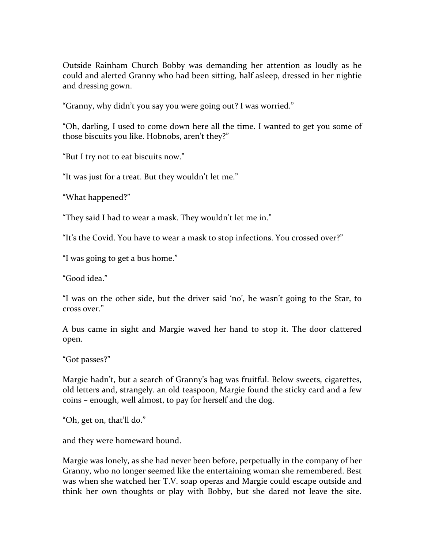Outside Rainham Church Bobby was demanding her attention as loudly as he could and alerted Granny who had been sitting, half asleep, dressed in her nightie and dressing gown.

"Granny, why didn't you say you were going out? I was worried."

"Oh, darling, I used to come down here all the time. I wanted to get you some of those biscuits you like. Hobnobs, aren't they?"

"But I try not to eat biscuits now."

"It was just for a treat. But they wouldn't let me."

"What happened?"

"They said I had to wear a mask. They wouldn't let me in."

"It's the Covid. You have to wear a mask to stop infections. You crossed over?"

"I was going to get a bus home."

"Good idea."

"I was on the other side, but the driver said 'no', he wasn't going to the Star, to cross over."

A bus came in sight and Margie waved her hand to stop it. The door clattered open.

"Got passes?"

Margie hadn't, but a search of Granny's bag was fruitful. Below sweets, cigarettes, old letters and, strangely. an old teaspoon, Margie found the sticky card and a few coins – enough, well almost, to pay for herself and the dog.

"Oh, get on, that'll do."

and they were homeward bound.

Margie was lonely, as she had never been before, perpetually in the company of her Granny, who no longer seemed like the entertaining woman she remembered. Best was when she watched her T.V. soap operas and Margie could escape outside and think her own thoughts or play with Bobby, but she dared not leave the site.